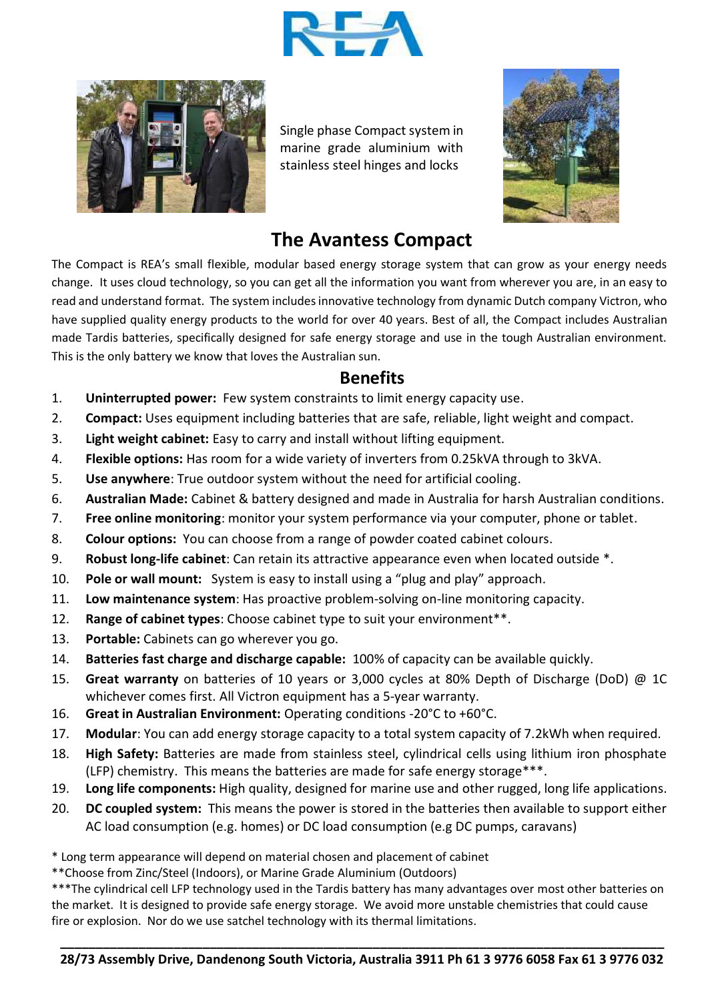



Single phase Compact system in marine grade aluminium with stainless steel hinges and locks



## **The Avantess Compact**

The Compact is REA's small flexible, modular based energy storage system that can grow as your energy needs change. It uses cloud technology, so you can get all the information you want from wherever you are, in an easy to read and understand format. The system includes innovative technology from dynamic Dutch company Victron, who have supplied quality energy products to the world for over 40 years. Best of all, the Compact includes Australian made Tardis batteries, specifically designed for safe energy storage and use in the tough Australian environment. This is the only battery we know that loves the Australian sun.

## **Benefits**

- 1. **Uninterrupted power:** Few system constraints to limit energy capacity use.
- 2. **Compact:** Uses equipment including batteries that are safe, reliable, light weight and compact.
- 3. **Light weight cabinet:** Easy to carry and install without lifting equipment.
- 4. **Flexible options:** Has room for a wide variety of inverters from 0.25kVA through to 3kVA.
- 5. **Use anywhere**: True outdoor system without the need for artificial cooling.
- 6. **Australian Made:** Cabinet & battery designed and made in Australia for harsh Australian conditions.
- 7. **Free online monitoring**: monitor your system performance via your computer, phone or tablet.
- 8. **Colour options:** You can choose from a range of powder coated cabinet colours.
- 9. **Robust long-life cabinet**: Can retain its attractive appearance even when located outside \*.
- 10. **Pole or wall mount:** System is easy to install using a "plug and play" approach.
- 11. **Low maintenance system**: Has proactive problem-solving on-line monitoring capacity.
- 12. **Range of cabinet types**: Choose cabinet type to suit your environment\*\*.
- 13. **Portable:** Cabinets can go wherever you go.
- 14. **Batteries fast charge and discharge capable:** 100% of capacity can be available quickly.
- 15. **Great warranty** on batteries of 10 years or 3,000 cycles at 80% Depth of Discharge (DoD) @ 1C whichever comes first. All Victron equipment has a 5-year warranty.
- 16. **Great in Australian Environment:** Operating conditions -20°C to +60°C.
- 17. **Modular**: You can add energy storage capacity to a total system capacity of 7.2kWh when required.
- 18. **High Safety:** Batteries are made from stainless steel, cylindrical cells using lithium iron phosphate (LFP) chemistry. This means the batteries are made for safe energy storage\*\*\*.
- 19. **Long life components:** High quality, designed for marine use and other rugged, long life applications.
- 20. **DC coupled system:** This means the power is stored in the batteries then available to support either AC load consumption (e.g. homes) or DC load consumption (e.g DC pumps, caravans)
- \* Long term appearance will depend on material chosen and placement of cabinet
- \*\*Choose from Zinc/Steel (Indoors), or Marine Grade Aluminium (Outdoors)

\*\*\*The cylindrical cell LFP technology used in the Tardis battery has many advantages over most other batteries on the market. It is designed to provide safe energy storage. We avoid more unstable chemistries that could cause fire or explosion. Nor do we use satchel technology with its thermal limitations.